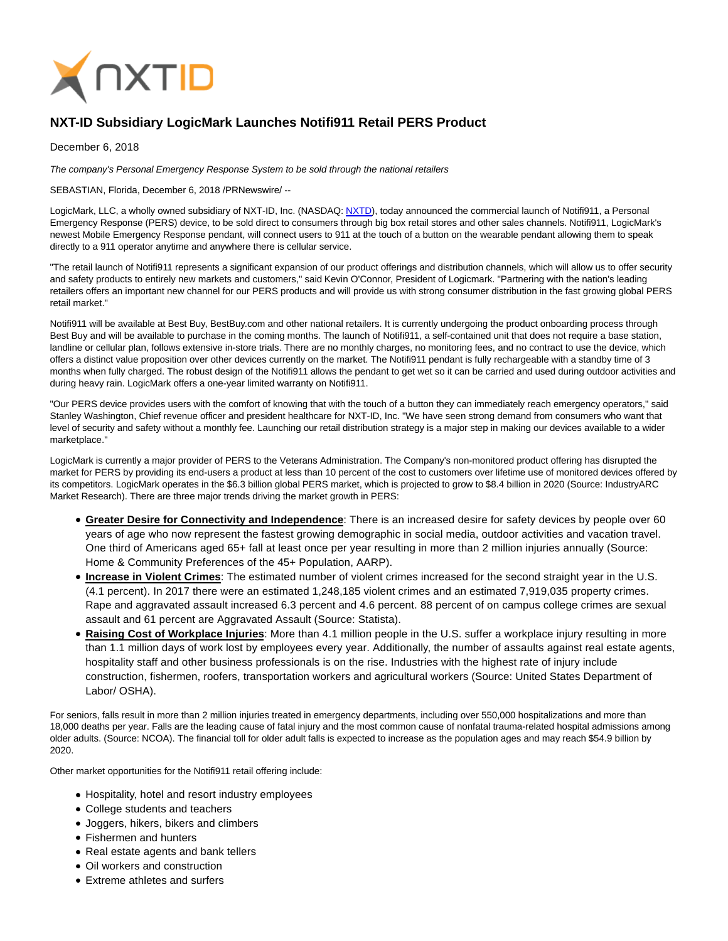

## **NXT-ID Subsidiary LogicMark Launches Notifi911 Retail PERS Product**

December 6, 2018

The company's Personal Emergency Response System to be sold through the national retailers

SEBASTIAN, Florida, December 6, 2018 /PRNewswire/ --

LogicMark, LLC, a wholly owned subsidiary of NXT-ID, Inc. (NASDAQ[: NXTD\),](https://finance.yahoo.com/q?s=nxtd) today announced the commercial launch of Notifi911, a Personal Emergency Response (PERS) device, to be sold direct to consumers through big box retail stores and other sales channels. Notifi911, LogicMark's newest Mobile Emergency Response pendant, will connect users to 911 at the touch of a button on the wearable pendant allowing them to speak directly to a 911 operator anytime and anywhere there is cellular service.

"The retail launch of Notifi911 represents a significant expansion of our product offerings and distribution channels, which will allow us to offer security and safety products to entirely new markets and customers," said Kevin O'Connor, President of Logicmark. "Partnering with the nation's leading retailers offers an important new channel for our PERS products and will provide us with strong consumer distribution in the fast growing global PERS retail market."

Notifi911 will be available at Best Buy, BestBuy.com and other national retailers. It is currently undergoing the product onboarding process through Best Buy and will be available to purchase in the coming months. The launch of Notifi911, a self-contained unit that does not require a base station, landline or cellular plan, follows extensive in-store trials. There are no monthly charges, no monitoring fees, and no contract to use the device, which offers a distinct value proposition over other devices currently on the market. The Notifi911 pendant is fully rechargeable with a standby time of 3 months when fully charged. The robust design of the Notifi911 allows the pendant to get wet so it can be carried and used during outdoor activities and during heavy rain. LogicMark offers a one-year limited warranty on Notifi911.

"Our PERS device provides users with the comfort of knowing that with the touch of a button they can immediately reach emergency operators," said Stanley Washington, Chief revenue officer and president healthcare for NXT-ID, Inc. "We have seen strong demand from consumers who want that level of security and safety without a monthly fee. Launching our retail distribution strategy is a major step in making our devices available to a wider marketplace."

LogicMark is currently a major provider of PERS to the Veterans Administration. The Company's non-monitored product offering has disrupted the market for PERS by providing its end-users a product at less than 10 percent of the cost to customers over lifetime use of monitored devices offered by its competitors. LogicMark operates in the \$6.3 billion global PERS market, which is projected to grow to \$8.4 billion in 2020 (Source: IndustryARC Market Research). There are three major trends driving the market growth in PERS:

- **Greater Desire for Connectivity and Independence**: There is an increased desire for safety devices by people over 60 years of age who now represent the fastest growing demographic in social media, outdoor activities and vacation travel. One third of Americans aged 65+ fall at least once per year resulting in more than 2 million injuries annually (Source: Home & Community Preferences of the 45+ Population, AARP).
- **Increase in Violent Crimes**: The estimated number of violent crimes increased for the second straight year in the U.S. (4.1 percent). In 2017 there were an estimated 1,248,185 violent crimes and an estimated 7,919,035 property crimes. Rape and aggravated assault increased 6.3 percent and 4.6 percent. 88 percent of on campus college crimes are sexual assault and 61 percent are Aggravated Assault (Source: Statista).
- **Raising Cost of Workplace Injuries**: More than 4.1 million people in the U.S. suffer a workplace injury resulting in more than 1.1 million days of work lost by employees every year. Additionally, the number of assaults against real estate agents, hospitality staff and other business professionals is on the rise. Industries with the highest rate of injury include construction, fishermen, roofers, transportation workers and agricultural workers (Source: United States Department of Labor/ OSHA).

For seniors, falls result in more than 2 million injuries treated in emergency departments, including over 550,000 hospitalizations and more than 18,000 deaths per year. Falls are the leading cause of fatal injury and the most common cause of nonfatal trauma-related hospital admissions among older adults. (Source: NCOA). The financial toll for older adult falls is expected to increase as the population ages and may reach \$54.9 billion by 2020.

Other market opportunities for the Notifi911 retail offering include:

- Hospitality, hotel and resort industry employees
- College students and teachers
- Joggers, hikers, bikers and climbers
- Fishermen and hunters
- Real estate agents and bank tellers
- Oil workers and construction
- Extreme athletes and surfers